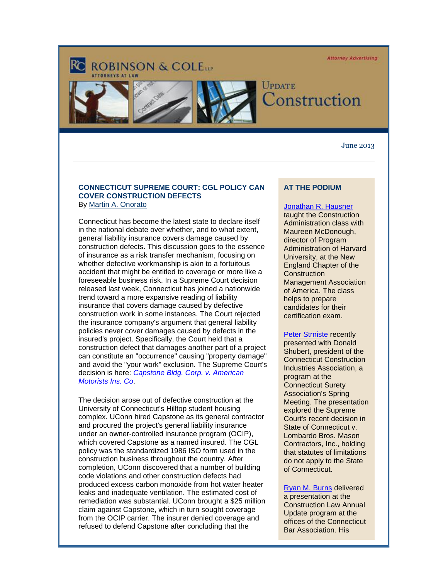**Attorney Advertising** 

# **ROBINSON & COLETT**





## UPDATE onstruction<sup>'</sup>

#### June 2013

## **CONNECTICUT SUPREME COURT: CGL POLICY CAN COVER CONSTRUCTION DEFECTS** By [Martin A. Onorato](http://cl.exct.net/?ju=fe2817777063067c731272&ls=fdb4157272670075741d79736d&m=fefb1671756c0d&l=fec811727763027c&s=fe2812727d670c7d771175&jb=ffcf14&t=)

Connecticut has become the latest state to declare itself in the national debate over whether, and to what extent, general liability insurance covers damage caused by construction defects. This discussion goes to the essence of insurance as a risk transfer mechanism, focusing on whether defective workmanship is akin to a fortuitous accident that might be entitled to coverage or more like a foreseeable business risk. In a Supreme Court decision released last week, Connecticut has joined a nationwide trend toward a more expansive reading of liability insurance that covers damage caused by defective construction work in some instances. The Court rejected the insurance company's argument that general liability policies never cover damages caused by defects in the insured's project. Specifically, the Court held that a construction defect that damages another part of a project can constitute an "occurrence" causing "property damage" and avoid the "your work" exclusion. The Supreme Court's decision is here: *[Capstone Bldg. Corp. v. American](http://cl.exct.net/?ju=fe2717777063067c731273&ls=fdb4157272670075741d79736d&m=fefb1671756c0d&l=fec811727763027c&s=fe2812727d670c7d771175&jb=ffcf14&t=)  [Motorists Ins. Co](http://cl.exct.net/?ju=fe2717777063067c731273&ls=fdb4157272670075741d79736d&m=fefb1671756c0d&l=fec811727763027c&s=fe2812727d670c7d771175&jb=ffcf14&t=)*.

The decision arose out of defective construction at the University of Connecticut's Hilltop student housing complex. UConn hired Capstone as its general contractor and procured the project's general liability insurance under an owner-controlled insurance program (OCIP), which covered Capstone as a named insured. The CGL policy was the standardized 1986 ISO form used in the construction business throughout the country. After completion, UConn discovered that a number of building code violations and other construction defects had produced excess carbon monoxide from hot water heater leaks and inadequate ventilation. The estimated cost of remediation was substantial. UConn brought a \$25 million claim against Capstone, which in turn sought coverage from the OCIP carrier. The insurer denied coverage and refused to defend Capstone after concluding that the

## **AT THE PODIUM**

## [Jonathan R. Hausner](http://cl.exct.net/?ju=fe2617777063067c731274&ls=fdb4157272670075741d79736d&m=fefb1671756c0d&l=fec811727763027c&s=fe2812727d670c7d771175&jb=ffcf14&t=)

taught the Construction Administration class with Maureen McDonough, director of Program Administration of Harvard University, at the New England Chapter of the **Construction** Management Association of America. The class helps to prepare candidates for their certification exam.

#### [Peter Strniste](http://cl.exct.net/?ju=fe2517777063067c731275&ls=fdb4157272670075741d79736d&m=fefb1671756c0d&l=fec811727763027c&s=fe2812727d670c7d771175&jb=ffcf14&t=) recently

presented with Donald Shubert, president of the Connecticut Construction Industries Association, a program at the Connecticut Surety Association's Spring Meeting. The presentation explored the Supreme Court's recent decision in State of Connecticut v. Lombardo Bros. Mason Contractors, Inc., holding that statutes of limitations do not apply to the State of Connecticut.

[Ryan M. Burns](http://cl.exct.net/?ju=fe2417777063067c731276&ls=fdb4157272670075741d79736d&m=fefb1671756c0d&l=fec811727763027c&s=fe2812727d670c7d771175&jb=ffcf14&t=) delivered a presentation at the Construction Law Annual Update program at the offices of the Connecticut Bar Association. His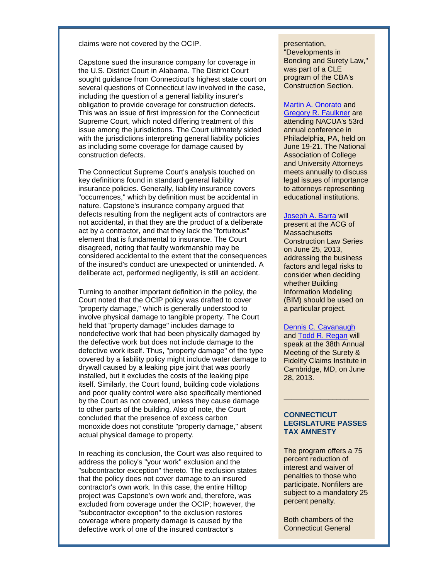claims were not covered by the OCIP.

Capstone sued the insurance company for coverage in the U.S. District Court in Alabama. The District Court sought guidance from Connecticut's highest state court on several questions of Connecticut law involved in the case, including the question of a general liability insurer's obligation to provide coverage for construction defects. This was an issue of first impression for the Connecticut Supreme Court, which noted differing treatment of this issue among the jurisdictions. The Court ultimately sided with the jurisdictions interpreting general liability policies as including some coverage for damage caused by construction defects.

The Connecticut Supreme Court's analysis touched on key definitions found in standard general liability insurance policies. Generally, liability insurance covers "occurrences," which by definition must be accidental in nature. Capstone's insurance company argued that defects resulting from the negligent acts of contractors are not accidental, in that they are the product of a deliberate act by a contractor, and that they lack the "fortuitous" element that is fundamental to insurance. The Court disagreed, noting that faulty workmanship may be considered accidental to the extent that the consequences of the insured's conduct are unexpected or unintended. A deliberate act, performed negligently, is still an accident.

Turning to another important definition in the policy, the Court noted that the OCIP policy was drafted to cover "property damage," which is generally understood to involve physical damage to tangible property. The Court held that "property damage" includes damage to nondefective work that had been physically damaged by the defective work but does not include damage to the defective work itself. Thus, "property damage" of the type covered by a liability policy might include water damage to drywall caused by a leaking pipe joint that was poorly installed, but it excludes the costs of the leaking pipe itself. Similarly, the Court found, building code violations and poor quality control were also specifically mentioned by the Court as not covered, unless they cause damage to other parts of the building. Also of note, the Court concluded that the presence of excess carbon monoxide does not constitute "property damage," absent actual physical damage to property.

In reaching its conclusion, the Court was also required to address the policy's "your work" exclusion and the "subcontractor exception" thereto. The exclusion states that the policy does not cover damage to an insured contractor's own work. In this case, the entire Hilltop project was Capstone's own work and, therefore, was excluded from coverage under the OCIP; however, the "subcontractor exception" to the exclusion restores coverage where property damage is caused by the defective work of one of the insured contractor's

#### presentation,

"Developments in Bonding and Surety Law," was part of a CLE program of the CBA's Construction Section.

## [Martin A. Onorato](http://cl.exct.net/?ju=fe2817777063067c731272&ls=fdb4157272670075741d79736d&m=fefb1671756c0d&l=fec811727763027c&s=fe2812727d670c7d771175&jb=ffcf14&t=) and

[Gregory R. Faulkner](http://cl.exct.net/?ju=fe2317777063067c731277&ls=fdb4157272670075741d79736d&m=fefb1671756c0d&l=fec811727763027c&s=fe2812727d670c7d771175&jb=ffcf14&t=) are attending NACUA's 53rd annual conference in Philadelphia, PA, held on June 19-21. The National Association of College and University Attorneys meets annually to discuss legal issues of importance to attorneys representing educational institutions.

### [Joseph A. Barra](http://cl.exct.net/?ju=fe2217777063067c731278&ls=fdb4157272670075741d79736d&m=fefb1671756c0d&l=fec811727763027c&s=fe2812727d670c7d771175&jb=ffcf14&t=) will

present at the ACG of **Massachusetts** Construction Law Series on June 25, 2013, addressing the business factors and legal risks to consider when deciding whether Building Information Modeling (BIM) should be used on a particular project.

## [Dennis C. Cavanaugh](http://cl.exct.net/?ju=fe2117777063067c731279&ls=fdb4157272670075741d79736d&m=fefb1671756c0d&l=fec811727763027c&s=fe2812727d670c7d771175&jb=ffcf14&t=)

and [Todd R. Regan](http://cl.exct.net/?ju=fe2917777063067c731370&ls=fdb4157272670075741d79736d&m=fefb1671756c0d&l=fec811727763027c&s=fe2812727d670c7d771175&jb=ffcf14&t=) will speak at the 38th Annual Meeting of the Surety & Fidelity Claims Institute in Cambridge, MD, on June 28, 2013.

## **CONNECTICUT LEGISLATURE PASSES TAX AMNESTY**

**\_\_\_\_\_\_\_\_\_\_\_\_\_\_\_\_\_\_\_\_\_**

The program offers a 75 percent reduction of interest and waiver of penalties to those who participate. Nonfilers are subject to a mandatory 25 percent penalty.

Both chambers of the Connecticut General